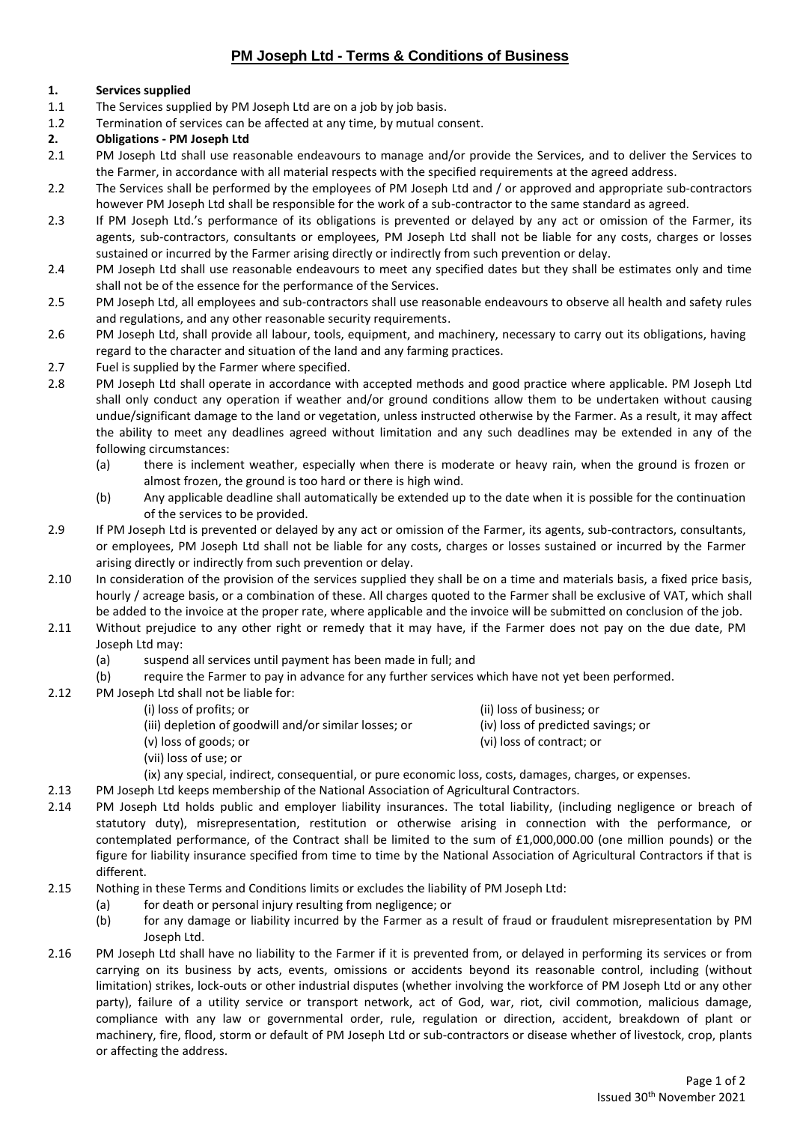# **PM Joseph Ltd - Terms & Conditions of Business**

## **1. Services supplied**

- 1.1 The Services supplied by PM Joseph Ltd are on a job by job basis.
- 1.2 Termination of services can be affected at any time, by mutual consent.

## **2. Obligations - PM Joseph Ltd**

- 2.1 PM Joseph Ltd shall use reasonable endeavours to manage and/or provide the Services, and to deliver the Services to the Farmer, in accordance with all material respects with the specified requirements at the agreed address.
- 2.2 The Services shall be performed by the employees of PM Joseph Ltd and / or approved and appropriate sub-contractors however PM Joseph Ltd shall be responsible for the work of a sub-contractor to the same standard as agreed.
- 2.3 If PM Joseph Ltd.'s performance of its obligations is prevented or delayed by any act or omission of the Farmer, its agents, sub-contractors, consultants or employees, PM Joseph Ltd shall not be liable for any costs, charges or losses sustained or incurred by the Farmer arising directly or indirectly from such prevention or delay.
- 2.4 PM Joseph Ltd shall use reasonable endeavours to meet any specified dates but they shall be estimates only and time shall not be of the essence for the performance of the Services.
- 2.5 PM Joseph Ltd, all employees and sub-contractors shall use reasonable endeavours to observe all health and safety rules and regulations, and any other reasonable security requirements.
- 2.6 PM Joseph Ltd, shall provide all labour, tools, equipment, and machinery, necessary to carry out its obligations, having regard to the character and situation of the land and any farming practices.
- 2.7 Fuel is supplied by the Farmer where specified.
- 2.8 PM Joseph Ltd shall operate in accordance with accepted methods and good practice where applicable. PM Joseph Ltd shall only conduct any operation if weather and/or ground conditions allow them to be undertaken without causing undue/significant damage to the land or vegetation, unless instructed otherwise by the Farmer. As a result, it may affect the ability to meet any deadlines agreed without limitation and any such deadlines may be extended in any of the following circumstances:
	- (a) there is inclement weather, especially when there is moderate or heavy rain, when the ground is frozen or almost frozen, the ground is too hard or there is high wind.
	- (b) Any applicable deadline shall automatically be extended up to the date when it is possible for the continuation of the services to be provided.
- 2.9 If PM Joseph Ltd is prevented or delayed by any act or omission of the Farmer, its agents, sub-contractors, consultants, or employees, PM Joseph Ltd shall not be liable for any costs, charges or losses sustained or incurred by the Farmer arising directly or indirectly from such prevention or delay.
- 2.10 In consideration of the provision of the services supplied they shall be on a time and materials basis, a fixed price basis, hourly / acreage basis, or a combination of these. All charges quoted to the Farmer shall be exclusive of VAT, which shall be added to the invoice at the proper rate, where applicable and the invoice will be submitted on conclusion of the job.
- 2.11 Without prejudice to any other right or remedy that it may have, if the Farmer does not pay on the due date, PM Joseph Ltd may:
	- (a) suspend all services until payment has been made in full; and
	- (b) require the Farmer to pay in advance for any further services which have not yet been performed.
- 2.12 PM Joseph Ltd shall not be liable for:
	-
	- (iii) depletion of goodwill and/or similar losses; or (iv) loss of predicted savings; or
	- (i) loss of profits; or (ii) loss of business; or
		-
	- (v) loss of goods; or (vi) loss of contract; or
	- (vii) loss of use; or
	- (ix) any special, indirect, consequential, or pure economic loss, costs, damages, charges, or expenses.
- 2.13 PM Joseph Ltd keeps membership of the National Association of Agricultural Contractors.
- 2.14 PM Joseph Ltd holds public and employer liability insurances. The total liability, (including negligence or breach of statutory duty), misrepresentation, restitution or otherwise arising in connection with the performance, or contemplated performance, of the Contract shall be limited to the sum of £1,000,000.00 (one million pounds) or the figure for liability insurance specified from time to time by the National Association of Agricultural Contractors if that is different.
- 2.15 Nothing in these Terms and Conditions limits or excludes the liability of PM Joseph Ltd:
	- (a) for death or personal injury resulting from negligence; or
	- (b) for any damage or liability incurred by the Farmer as a result of fraud or fraudulent misrepresentation by PM Joseph Ltd.
- 2.16 PM Joseph Ltd shall have no liability to the Farmer if it is prevented from, or delayed in performing its services or from carrying on its business by acts, events, omissions or accidents beyond its reasonable control, including (without limitation) strikes, lock-outs or other industrial disputes (whether involving the workforce of PM Joseph Ltd or any other party), failure of a utility service or transport network, act of God, war, riot, civil commotion, malicious damage, compliance with any law or governmental order, rule, regulation or direction, accident, breakdown of plant or machinery, fire, flood, storm or default of PM Joseph Ltd or sub-contractors or disease whether of livestock, crop, plants or affecting the address.